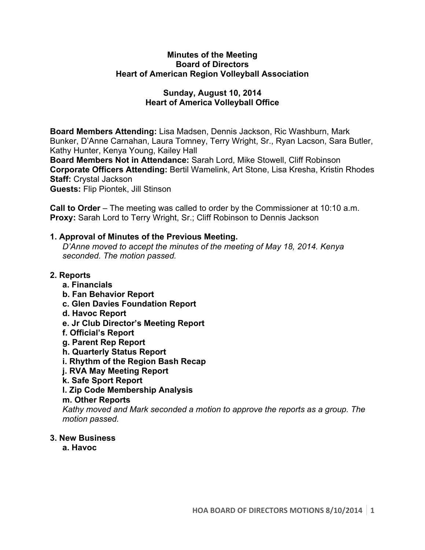#### **Minutes of the Meeting Board of Directors Heart of American Region Volleyball Association**

## **Sunday, August 10, 2014 Heart of America Volleyball Office**

**Board Members Attending:** Lisa Madsen, Dennis Jackson, Ric Washburn, Mark Bunker, D'Anne Carnahan, Laura Tomney, Terry Wright, Sr., Ryan Lacson, Sara Butler, Kathy Hunter, Kenya Young, Kailey Hall

**Board Members Not in Attendance:** Sarah Lord, Mike Stowell, Cliff Robinson **Corporate Officers Attending:** Bertil Wamelink, Art Stone, Lisa Kresha, Kristin Rhodes **Staff:** Crystal Jackson

**Guests:** Flip Piontek, Jill Stinson

**Call to Order** – The meeting was called to order by the Commissioner at 10:10 a.m. **Proxy:** Sarah Lord to Terry Wright, Sr.; Cliff Robinson to Dennis Jackson

# **1. Approval of Minutes of the Previous Meeting.**

*D'Anne moved to accept the minutes of the meeting of May 18, 2014. Kenya seconded. The motion passed.*

# **2. Reports**

- **a. Financials**
- **b. Fan Behavior Report**
- **c. Glen Davies Foundation Report**
- **d. Havoc Report**
- **e. Jr Club Director's Meeting Report**
- **f. Official's Report**
- **g. Parent Rep Report**
- **h. Quarterly Status Report**
- **i. Rhythm of the Region Bash Recap**
- **j. RVA May Meeting Report**
- **k. Safe Sport Report**
- **l. Zip Code Membership Analysis**

### **m. Other Reports**

*Kathy moved and Mark seconded a motion to approve the reports as a group. The motion passed.* 

### **3. New Business**

**a. Havoc**